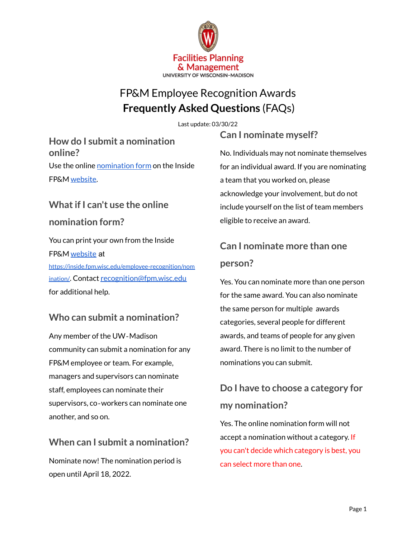

## FP&M Employee Recognition Awards **Frequently Asked Questions** (FAQs)

Last update: 03/30/22

**How do I submit a nomination online?** Use the online [nomination](https://inside.fpm.wisc.edu/employee-recognition/nomination/) form on the Inside FP&M [website.](https://inside.fpm.wisc.edu/employee-recognition/)

# **Whatif I can't use the online nomination form?**

You can print your own from the Inside FP&M [website](https://inside.fpm.wisc.edu/employee-recognition/) at [https://inside.fpm.wisc.edu/employee-recognition/nom](https://inside.fpm.wisc.edu/employee-recognition/nomination/) [ination/](https://inside.fpm.wisc.edu/employee-recognition/nomination/). Contact [recognition@fpm.wisc.edu](mailto:recognition@fpm.wisc.edu) for additional help.

### **Who can submit a nomination?**

Any member of the UW‐Madison community can submit a nomination for any FP&M employee or team. For example, managers and supervisors can nominate staff, employees can nominate their supervisors, co‐workers can nominate one another, and so on.

### **When can I submit a nomination?**

Nominate now! The nomination period is open until April 18, 2022.

**Can I nominate myself?**

No. Individuals may not nominate themselves for an individual award. If you are nominating a team that you worked on, please acknowledge your involvement, but do not include yourself on the list of team members eligible to receive an award.

## **Can I nominate more than one person?**

Yes. You can nominate more than one person for the same award. You can also nominate the same person for multiple awards categories, several people for different awards, and teams of people for any given award. There is no limit to the number of nominations you can submit.

## **Do I have to choose a category for my nomination?**

Yes. The online nomination form will not accept a nomination without a category. If you can't decide which category is best, you can select more than one.